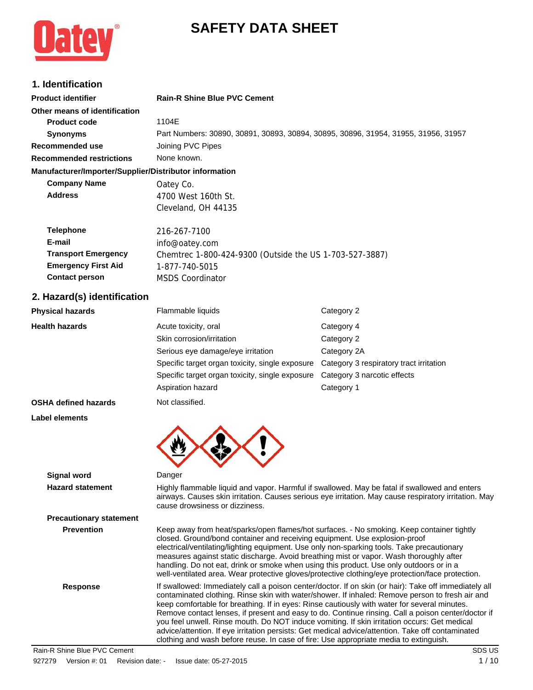# **SAFETY DATA SHEET**



# **1. Identification**

| ו ושטוויווישעוויוו                                     |                                                                                    |            |
|--------------------------------------------------------|------------------------------------------------------------------------------------|------------|
| <b>Product identifier</b>                              | <b>Rain-R Shine Blue PVC Cement</b>                                                |            |
| Other means of identification                          |                                                                                    |            |
| <b>Product code</b>                                    | 1104F                                                                              |            |
| <b>Synonyms</b>                                        | Part Numbers: 30890, 30891, 30893, 30894, 30895, 30896, 31954, 31955, 31956, 31957 |            |
| Recommended use                                        | Joining PVC Pipes                                                                  |            |
| <b>Recommended restrictions</b>                        | None known.                                                                        |            |
| Manufacturer/Importer/Supplier/Distributor information |                                                                                    |            |
| <b>Company Name</b>                                    | Oatey Co.                                                                          |            |
| <b>Address</b>                                         | 4700 West 160th St.                                                                |            |
|                                                        | Cleveland, OH 44135                                                                |            |
| <b>Telephone</b>                                       | 216-267-7100                                                                       |            |
| E-mail                                                 | info@oatey.com                                                                     |            |
| <b>Transport Emergency</b>                             | Chemtrec 1-800-424-9300 (Outside the US 1-703-527-3887)                            |            |
| <b>Emergency First Aid</b>                             | 1-877-740-5015                                                                     |            |
| <b>Contact person</b>                                  | <b>MSDS Coordinator</b>                                                            |            |
| 2. Hazard(s) identification                            |                                                                                    |            |
| <b>Physical hazards</b>                                | Flammable liquids                                                                  | Category 2 |
| <b>Health hazards</b>                                  | Acute toxicity, oral                                                               | Category 4 |
|                                                        | Skin corrosion/irritation                                                          | Category 2 |

|                             | Skin corrosion/irritation                       | Category 2                              |
|-----------------------------|-------------------------------------------------|-----------------------------------------|
|                             | Serious eye damage/eye irritation               | Category 2A                             |
|                             | Specific target organ toxicity, single exposure | Category 3 respiratory tract irritation |
|                             | Specific target organ toxicity, single exposure | Category 3 narcotic effects             |
|                             | Aspiration hazard                               | Category 1                              |
| <b>OSHA defined hazards</b> | Not classified.                                 |                                         |
| <b>Label elements</b>       |                                                 |                                         |
|                             |                                                 |                                         |
|                             |                                                 |                                         |
|                             |                                                 |                                         |

| <b>Signal word</b>             | Danger                                                                                                                                                                                                                                                                                                                                                                                                                                                                                                                                                                                                                                                                                                       |
|--------------------------------|--------------------------------------------------------------------------------------------------------------------------------------------------------------------------------------------------------------------------------------------------------------------------------------------------------------------------------------------------------------------------------------------------------------------------------------------------------------------------------------------------------------------------------------------------------------------------------------------------------------------------------------------------------------------------------------------------------------|
| <b>Hazard statement</b>        | Highly flammable liquid and vapor. Harmful if swallowed. May be fatal if swallowed and enters<br>airways. Causes skin irritation. Causes serious eye irritation. May cause respiratory irritation. May<br>cause drowsiness or dizziness.                                                                                                                                                                                                                                                                                                                                                                                                                                                                     |
| <b>Precautionary statement</b> |                                                                                                                                                                                                                                                                                                                                                                                                                                                                                                                                                                                                                                                                                                              |
| <b>Prevention</b>              | Keep away from heat/sparks/open flames/hot surfaces. - No smoking. Keep container tightly<br>closed. Ground/bond container and receiving equipment. Use explosion-proof<br>electrical/ventilating/lighting equipment. Use only non-sparking tools. Take precautionary<br>measures against static discharge. Avoid breathing mist or vapor. Wash thoroughly after<br>handling. Do not eat, drink or smoke when using this product. Use only outdoors or in a<br>well-ventilated area. Wear protective gloves/protective clothing/eye protection/face protection.                                                                                                                                              |
| <b>Response</b>                | If swallowed: Immediately call a poison center/doctor. If on skin (or hair): Take off immediately all<br>contaminated clothing. Rinse skin with water/shower. If inhaled: Remove person to fresh air and<br>keep comfortable for breathing. If in eyes: Rinse cautiously with water for several minutes.<br>Remove contact lenses, if present and easy to do. Continue rinsing. Call a poison center/doctor if<br>you feel unwell. Rinse mouth. Do NOT induce vomiting. If skin irritation occurs: Get medical<br>advice/attention. If eye irritation persists: Get medical advice/attention. Take off contaminated<br>clothing and wash before reuse. In case of fire: Use appropriate media to extinguish. |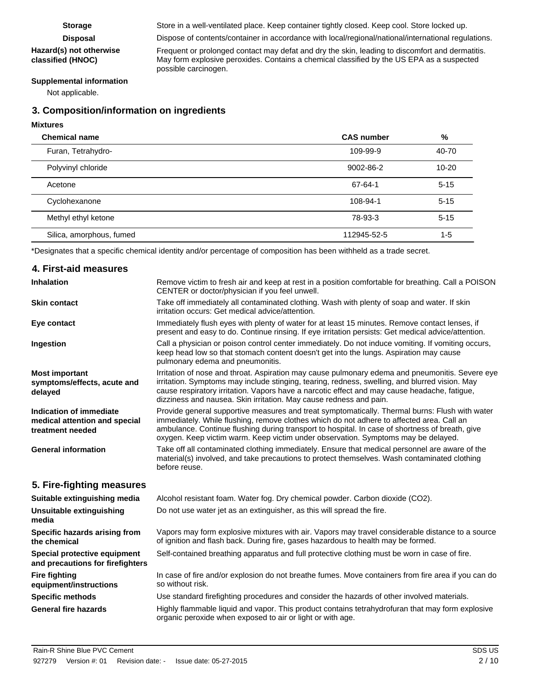#### **Hazard(s) not otherwise classified (HNOC)**

**Storage** Store in a well-ventilated place. Keep container tightly closed. Keep cool. Store locked up.

**Disposal** Dispose of contents/container in accordance with local/regional/national/international regulations.

Frequent or prolonged contact may defat and dry the skin, leading to discomfort and dermatitis. May form explosive peroxides. Contains a chemical classified by the US EPA as a suspected possible carcinogen.

#### **Supplemental information**

Not applicable.

#### **3. Composition/information on ingredients**

#### **Mixtures**

| <b>Chemical name</b>     | <b>CAS number</b> | %         |
|--------------------------|-------------------|-----------|
| Furan, Tetrahydro-       | 109-99-9          | 40-70     |
| Polyvinyl chloride       | 9002-86-2         | $10 - 20$ |
| Acetone                  | 67-64-1           | $5 - 15$  |
| Cyclohexanone            | 108-94-1          | $5 - 15$  |
| Methyl ethyl ketone      | 78-93-3           | $5 - 15$  |
| Silica, amorphous, fumed | 112945-52-5       | $1 - 5$   |

\*Designates that a specific chemical identity and/or percentage of composition has been withheld as a trade secret.

#### **4. First-aid measures** Remove victim to fresh air and keep at rest in a position comfortable for breathing. Call a POISON CENTER or doctor/physician if you feel unwell. **Inhalation** Take off immediately all contaminated clothing. Wash with plenty of soap and water. If skin irritation occurs: Get medical advice/attention. **Skin contact** Immediately flush eyes with plenty of water for at least 15 minutes. Remove contact lenses, if present and easy to do. Continue rinsing. If eye irritation persists: Get medical advice/attention. **Eye contact** Call a physician or poison control center immediately. Do not induce vomiting. If vomiting occurs, keep head low so that stomach content doesn't get into the lungs. Aspiration may cause pulmonary edema and pneumonitis. **Ingestion** Irritation of nose and throat. Aspiration may cause pulmonary edema and pneumonitis. Severe eye irritation. Symptoms may include stinging, tearing, redness, swelling, and blurred vision. May cause respiratory irritation. Vapors have a narcotic effect and may cause headache, fatigue, dizziness and nausea. Skin irritation. May cause redness and pain. **Most important symptoms/effects, acute and delayed** Provide general supportive measures and treat symptomatically. Thermal burns: Flush with water immediately. While flushing, remove clothes which do not adhere to affected area. Call an ambulance. Continue flushing during transport to hospital. In case of shortness of breath, give oxygen. Keep victim warm. Keep victim under observation. Symptoms may be delayed. **Indication of immediate medical attention and special treatment needed** Take off all contaminated clothing immediately. Ensure that medical personnel are aware of the material(s) involved, and take precautions to protect themselves. Wash contaminated clothing before reuse. **General information 5. Fire-fighting measures Suitable extinguishing media** Alcohol resistant foam. Water fog. Dry chemical powder. Carbon dioxide (CO2). **Unsuitable extinguishing** Do not use water jet as an extinguisher, as this will spread the fire. **media** Vapors may form explosive mixtures with air. Vapors may travel considerable distance to a source of ignition and flash back. During fire, gases hazardous to health may be formed. **Specific hazards arising from the chemical Special protective equipment** Self-contained breathing apparatus and full protective clothing must be worn in case of fire. **and precautions for firefighters** In case of fire and/or explosion do not breathe fumes. Move containers from fire area if you can do so without risk. **Fire fighting equipment/instructions Specific methods** Use standard firefighting procedures and consider the hazards of other involved materials. Highly flammable liquid and vapor. This product contains tetrahydrofuran that may form explosive organic peroxide when exposed to air or light or with age. **General fire hazards**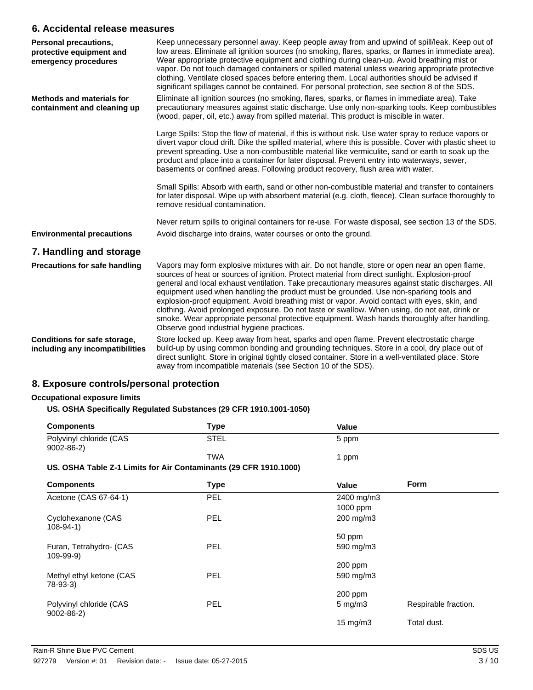#### **6. Accidental release measures**

| Personal precautions,<br>protective equipment and<br>emergency procedures | Keep unnecessary personnel away. Keep people away from and upwind of spill/leak. Keep out of<br>low areas. Eliminate all ignition sources (no smoking, flares, sparks, or flames in immediate area).<br>Wear appropriate protective equipment and clothing during clean-up. Avoid breathing mist or<br>vapor. Do not touch damaged containers or spilled material unless wearing appropriate protective<br>clothing. Ventilate closed spaces before entering them. Local authorities should be advised if<br>significant spillages cannot be contained. For personal protection, see section 8 of the SDS.                                                                                                                                   |
|---------------------------------------------------------------------------|----------------------------------------------------------------------------------------------------------------------------------------------------------------------------------------------------------------------------------------------------------------------------------------------------------------------------------------------------------------------------------------------------------------------------------------------------------------------------------------------------------------------------------------------------------------------------------------------------------------------------------------------------------------------------------------------------------------------------------------------|
| <b>Methods and materials for</b><br>containment and cleaning up           | Eliminate all ignition sources (no smoking, flares, sparks, or flames in immediate area). Take<br>precautionary measures against static discharge. Use only non-sparking tools. Keep combustibles<br>(wood, paper, oil, etc.) away from spilled material. This product is miscible in water.                                                                                                                                                                                                                                                                                                                                                                                                                                                 |
|                                                                           | Large Spills: Stop the flow of material, if this is without risk. Use water spray to reduce vapors or<br>divert vapor cloud drift. Dike the spilled material, where this is possible. Cover with plastic sheet to<br>prevent spreading. Use a non-combustible material like vermiculite, sand or earth to soak up the<br>product and place into a container for later disposal. Prevent entry into waterways, sewer,<br>basements or confined areas. Following product recovery, flush area with water.                                                                                                                                                                                                                                      |
|                                                                           | Small Spills: Absorb with earth, sand or other non-combustible material and transfer to containers<br>for later disposal. Wipe up with absorbent material (e.g. cloth, fleece). Clean surface thoroughly to<br>remove residual contamination.                                                                                                                                                                                                                                                                                                                                                                                                                                                                                                |
|                                                                           | Never return spills to original containers for re-use. For waste disposal, see section 13 of the SDS.                                                                                                                                                                                                                                                                                                                                                                                                                                                                                                                                                                                                                                        |
| <b>Environmental precautions</b>                                          | Avoid discharge into drains, water courses or onto the ground.                                                                                                                                                                                                                                                                                                                                                                                                                                                                                                                                                                                                                                                                               |
| 7. Handling and storage                                                   |                                                                                                                                                                                                                                                                                                                                                                                                                                                                                                                                                                                                                                                                                                                                              |
| <b>Precautions for safe handling</b>                                      | Vapors may form explosive mixtures with air. Do not handle, store or open near an open flame,<br>sources of heat or sources of ignition. Protect material from direct sunlight. Explosion-proof<br>general and local exhaust ventilation. Take precautionary measures against static discharges. All<br>equipment used when handling the product must be grounded. Use non-sparking tools and<br>explosion-proof equipment. Avoid breathing mist or vapor. Avoid contact with eyes, skin, and<br>clothing. Avoid prolonged exposure. Do not taste or swallow. When using, do not eat, drink or<br>smoke. Wear appropriate personal protective equipment. Wash hands thoroughly after handling.<br>Observe good industrial hygiene practices. |
| Conditions for safe storage,<br>including any incompatibilities           | Store locked up. Keep away from heat, sparks and open flame. Prevent electrostatic charge<br>build-up by using common bonding and grounding techniques. Store in a cool, dry place out of<br>direct sunlight. Store in original tightly closed container. Store in a well-ventilated place. Store<br>away from incompatible materials (see Section 10 of the SDS).                                                                                                                                                                                                                                                                                                                                                                           |

### **8. Exposure controls/personal protection**

#### **Occupational exposure limits**

#### **US. OSHA Specifically Regulated Substances (29 CFR 1910.1001-1050)**

| <b>Components</b>                          | Type        | Value |  |
|--------------------------------------------|-------------|-------|--|
| Polyvinyl chloride (CAS<br>$9002 - 86 - 2$ | <b>STEL</b> | 5 ppm |  |
|                                            | <b>TWA</b>  | ppm   |  |

#### **US. OSHA Table Z-1 Limits for Air Contaminants (29 CFR 1910.1000)**

| <b>Components</b>                          | <b>Type</b> | Value             | <b>Form</b>          |
|--------------------------------------------|-------------|-------------------|----------------------|
| Acetone (CAS 67-64-1)                      | PEL         | 2400 mg/m3        |                      |
|                                            |             | $1000$ ppm        |                      |
| Cyclohexanone (CAS<br>$108 - 94 - 1$       | PEL         | 200 mg/m3         |                      |
|                                            |             | 50 ppm            |                      |
| Furan, Tetrahydro- (CAS<br>$109 - 99 - 9)$ | <b>PEL</b>  | 590 mg/m3         |                      |
|                                            |             | $200$ ppm         |                      |
| Methyl ethyl ketone (CAS<br>$78-93-3$      | <b>PEL</b>  | 590 mg/m3         |                      |
|                                            |             | 200 ppm           |                      |
| Polyvinyl chloride (CAS<br>$9002 - 86 - 2$ | <b>PEL</b>  | $5 \text{ mg/m}$  | Respirable fraction. |
|                                            |             | $15 \text{ mg/m}$ | Total dust.          |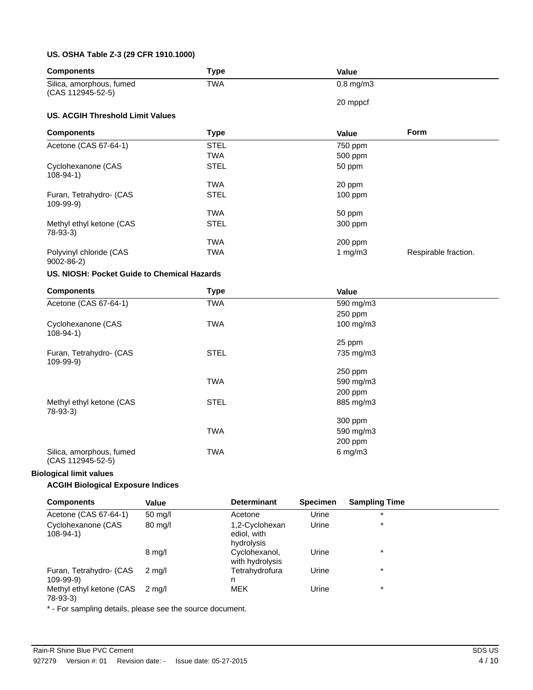#### **US. OSHA Table Z-3 (29 CFR 1910.1000)**

| <b>Components</b>                             | <b>Type</b> | Value          |                      |
|-----------------------------------------------|-------------|----------------|----------------------|
| Silica, amorphous, fumed                      | <b>TWA</b>  | $0.8$ mg/m $3$ |                      |
| (CAS 112945-52-5)                             |             | 20 mppcf       |                      |
| <b>US. ACGIH Threshold Limit Values</b>       |             |                |                      |
| <b>Components</b>                             | <b>Type</b> | Value          | Form                 |
| Acetone (CAS 67-64-1)                         | <b>STEL</b> | 750 ppm        |                      |
|                                               | <b>TWA</b>  | 500 ppm        |                      |
| Cyclohexanone (CAS<br>$108 - 94 - 1$          | <b>STEL</b> | 50 ppm         |                      |
|                                               | <b>TWA</b>  | 20 ppm         |                      |
| Furan, Tetrahydro- (CAS<br>109-99-9)          | <b>STEL</b> | 100 ppm        |                      |
|                                               | <b>TWA</b>  | 50 ppm         |                      |
| Methyl ethyl ketone (CAS<br>$78-93-3)$        | <b>STEL</b> | 300 ppm        |                      |
|                                               | <b>TWA</b>  | 200 ppm        |                      |
| Polyvinyl chloride (CAS<br>$9002 - 86 - 2$    | <b>TWA</b>  | 1 $mg/m3$      | Respirable fraction. |
| US. NIOSH: Pocket Guide to Chemical Hazards   |             |                |                      |
| <b>Components</b>                             | <b>Type</b> | Value          |                      |
| Acetone (CAS 67-64-1)                         | <b>TWA</b>  | 590 mg/m3      |                      |
|                                               |             | 250 ppm        |                      |
| Cyclohexanone (CAS<br>$108 - 94 - 1$          | <b>TWA</b>  | 100 mg/m3      |                      |
|                                               |             | 25 ppm         |                      |
| Furan, Tetrahydro- (CAS<br>$109-99-9)$        | <b>STEL</b> | 735 mg/m3      |                      |
|                                               |             | 250 ppm        |                      |
|                                               | <b>TWA</b>  | 590 mg/m3      |                      |
|                                               |             | 200 ppm        |                      |
| Methyl ethyl ketone (CAS<br>$78-93-3$         | <b>STEL</b> | 885 mg/m3      |                      |
|                                               |             | 300 ppm        |                      |
|                                               | <b>TWA</b>  | 590 mg/m3      |                      |
|                                               |             | 200 ppm        |                      |
| Silica, amorphous, fumed<br>(CAS 112945-52-5) | <b>TWA</b>  | $6$ mg/m $3$   |                      |

#### **Biological limit values**

#### **ACGIH Biological Exposure Indices**

| <b>Components</b>                          | Value             | <b>Determinant</b>                          | <b>Specimen</b> | <b>Sampling Time</b> |
|--------------------------------------------|-------------------|---------------------------------------------|-----------------|----------------------|
| Acetone (CAS 67-64-1)                      | $50 \text{ mq/l}$ | Acetone                                     | Urine           | $\star$              |
| Cyclohexanone (CAS<br>108-94-1)            | 80 mg/l           | 1,2-Cyclohexan<br>ediol, with<br>hydrolysis | Urine           | $\star$              |
|                                            | $8 \text{ mg/l}$  | Cyclohexanol,<br>with hydrolysis            | Urine           | $\star$              |
| Furan, Tetrahydro- (CAS<br>$109 - 99 - 9)$ | 2 ma/l            | Tetrahydrofura<br>n                         | Urine           | $\star$              |
| Methyl ethyl ketone (CAS<br>$78-93-3$      | 2 ma/l            | <b>MEK</b>                                  | Urine           | $\star$              |

\* - For sampling details, please see the source document.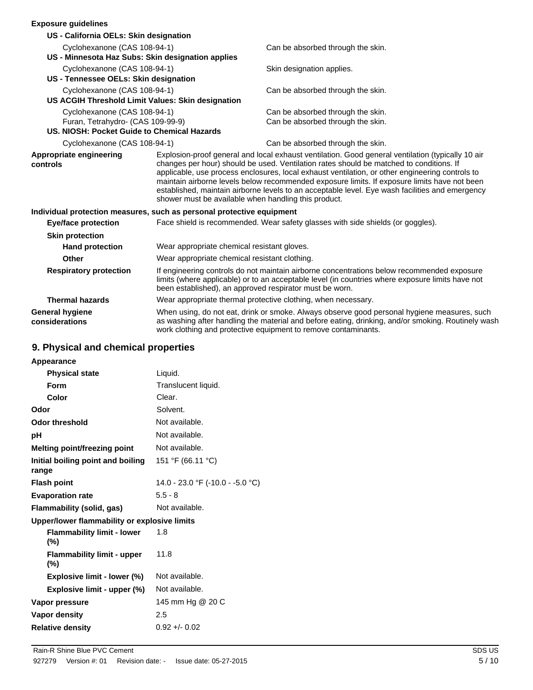#### **Exposure guidelines**

| EXPOSULE GUIUEIIIIES                                                  |                                                                                                                                                                                                                                                           |                                                                                                                                                                                                                                                                                                                                                                                                                                                                                                                                                            |  |
|-----------------------------------------------------------------------|-----------------------------------------------------------------------------------------------------------------------------------------------------------------------------------------------------------------------------------------------------------|------------------------------------------------------------------------------------------------------------------------------------------------------------------------------------------------------------------------------------------------------------------------------------------------------------------------------------------------------------------------------------------------------------------------------------------------------------------------------------------------------------------------------------------------------------|--|
| US - California OELs: Skin designation                                |                                                                                                                                                                                                                                                           |                                                                                                                                                                                                                                                                                                                                                                                                                                                                                                                                                            |  |
| Cyclohexanone (CAS 108-94-1)                                          |                                                                                                                                                                                                                                                           | Can be absorbed through the skin.                                                                                                                                                                                                                                                                                                                                                                                                                                                                                                                          |  |
| US - Minnesota Haz Subs: Skin designation applies                     |                                                                                                                                                                                                                                                           |                                                                                                                                                                                                                                                                                                                                                                                                                                                                                                                                                            |  |
| Cyclohexanone (CAS 108-94-1)                                          |                                                                                                                                                                                                                                                           | Skin designation applies.                                                                                                                                                                                                                                                                                                                                                                                                                                                                                                                                  |  |
| US - Tennessee OELs: Skin designation                                 |                                                                                                                                                                                                                                                           |                                                                                                                                                                                                                                                                                                                                                                                                                                                                                                                                                            |  |
| Cyclohexanone (CAS 108-94-1)                                          |                                                                                                                                                                                                                                                           | Can be absorbed through the skin.                                                                                                                                                                                                                                                                                                                                                                                                                                                                                                                          |  |
| US ACGIH Threshold Limit Values: Skin designation                     |                                                                                                                                                                                                                                                           |                                                                                                                                                                                                                                                                                                                                                                                                                                                                                                                                                            |  |
| Cyclohexanone (CAS 108-94-1)                                          |                                                                                                                                                                                                                                                           | Can be absorbed through the skin.                                                                                                                                                                                                                                                                                                                                                                                                                                                                                                                          |  |
| Furan, Tetrahydro- (CAS 109-99-9)                                     |                                                                                                                                                                                                                                                           | Can be absorbed through the skin.                                                                                                                                                                                                                                                                                                                                                                                                                                                                                                                          |  |
| US. NIOSH: Pocket Guide to Chemical Hazards                           |                                                                                                                                                                                                                                                           |                                                                                                                                                                                                                                                                                                                                                                                                                                                                                                                                                            |  |
| Cyclohexanone (CAS 108-94-1)                                          |                                                                                                                                                                                                                                                           | Can be absorbed through the skin.                                                                                                                                                                                                                                                                                                                                                                                                                                                                                                                          |  |
| Appropriate engineering<br>controls                                   |                                                                                                                                                                                                                                                           | Explosion-proof general and local exhaust ventilation. Good general ventilation (typically 10 air<br>changes per hour) should be used. Ventilation rates should be matched to conditions. If<br>applicable, use process enclosures, local exhaust ventilation, or other engineering controls to<br>maintain airborne levels below recommended exposure limits. If exposure limits have not been<br>established, maintain airborne levels to an acceptable level. Eye wash facilities and emergency<br>shower must be available when handling this product. |  |
| Individual protection measures, such as personal protective equipment |                                                                                                                                                                                                                                                           |                                                                                                                                                                                                                                                                                                                                                                                                                                                                                                                                                            |  |
| <b>Eye/face protection</b>                                            |                                                                                                                                                                                                                                                           | Face shield is recommended. Wear safety glasses with side shields (or goggles).                                                                                                                                                                                                                                                                                                                                                                                                                                                                            |  |
| <b>Skin protection</b>                                                |                                                                                                                                                                                                                                                           |                                                                                                                                                                                                                                                                                                                                                                                                                                                                                                                                                            |  |
| <b>Hand protection</b>                                                |                                                                                                                                                                                                                                                           | Wear appropriate chemical resistant gloves.                                                                                                                                                                                                                                                                                                                                                                                                                                                                                                                |  |
| Other                                                                 |                                                                                                                                                                                                                                                           | Wear appropriate chemical resistant clothing.                                                                                                                                                                                                                                                                                                                                                                                                                                                                                                              |  |
| <b>Respiratory protection</b>                                         | If engineering controls do not maintain airborne concentrations below recommended exposure<br>limits (where applicable) or to an acceptable level (in countries where exposure limits have not<br>been established), an approved respirator must be worn. |                                                                                                                                                                                                                                                                                                                                                                                                                                                                                                                                                            |  |
| <b>Thermal hazards</b>                                                |                                                                                                                                                                                                                                                           | Wear appropriate thermal protective clothing, when necessary.                                                                                                                                                                                                                                                                                                                                                                                                                                                                                              |  |
| <b>General hygiene</b><br>considerations                              |                                                                                                                                                                                                                                                           | When using, do not eat, drink or smoke. Always observe good personal hygiene measures, such<br>as washing after handling the material and before eating, drinking, and/or smoking. Routinely wash<br>work clothing and protective equipment to remove contaminants.                                                                                                                                                                                                                                                                                        |  |

# **9. Physical and chemical properties**

| Appearance                                   |                                  |
|----------------------------------------------|----------------------------------|
| <b>Physical state</b>                        | Liquid.                          |
| Form                                         | Translucent liquid.              |
| Color                                        | Clear.                           |
| Odor                                         | Solvent.                         |
| <b>Odor threshold</b>                        | Not available.                   |
| рH                                           | Not available.                   |
| Melting point/freezing point                 | Not available.                   |
| Initial boiling point and boiling<br>range   | 151 °F (66.11 °C)                |
| <b>Flash point</b>                           | 14.0 - 23.0 °F (-10.0 - -5.0 °C) |
| <b>Evaporation rate</b>                      | $5.5 - 8$                        |
| Flammability (solid, gas)                    | Not available.                   |
| Upper/lower flammability or explosive limits |                                  |
| <b>Flammability limit - lower</b><br>$(\% )$ | 1.8                              |
| <b>Flammability limit - upper</b><br>(%)     | 11.8                             |
| Explosive limit - lower (%)                  | Not available.                   |
| Explosive limit - upper (%)                  | Not available.                   |
| Vapor pressure                               | 145 mm Hg @ 20 C                 |
| Vapor density                                | 2.5                              |
| <b>Relative density</b>                      | $0.92 + 0.02$                    |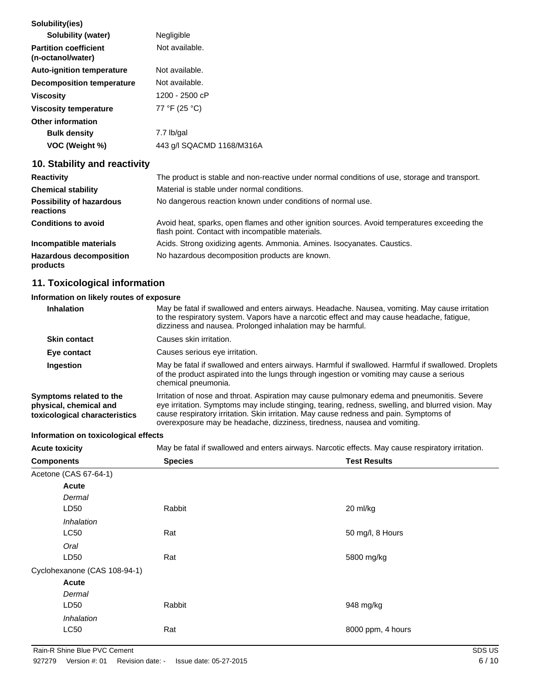| Solubility(ies)                                   |                           |
|---------------------------------------------------|---------------------------|
| Solubility (water)                                | Negligible                |
| <b>Partition coefficient</b><br>(n-octanol/water) | Not available.            |
| <b>Auto-ignition temperature</b>                  | Not available.            |
| Decomposition temperature                         | Not available.            |
| <b>Viscosity</b>                                  | 1200 - 2500 cP            |
| <b>Viscosity temperature</b>                      | 77 °F (25 °C)             |
| <b>Other information</b>                          |                           |
| <b>Bulk density</b>                               | 7.7 lb/gal                |
| VOC (Weight %)                                    | 443 g/l SQACMD 1168/M316A |
|                                                   |                           |

# **10. Stability and reactivity**

| <b>Reactivity</b>                            | The product is stable and non-reactive under normal conditions of use, storage and transport.                                                     |
|----------------------------------------------|---------------------------------------------------------------------------------------------------------------------------------------------------|
| <b>Chemical stability</b>                    | Material is stable under normal conditions.                                                                                                       |
| <b>Possibility of hazardous</b><br>reactions | No dangerous reaction known under conditions of normal use.                                                                                       |
| <b>Conditions to avoid</b>                   | Avoid heat, sparks, open flames and other ignition sources. Avoid temperatures exceeding the<br>flash point. Contact with incompatible materials. |
| Incompatible materials                       | Acids. Strong oxidizing agents. Ammonia. Amines. Isocyanates. Caustics.                                                                           |
| <b>Hazardous decomposition</b><br>products   | No hazardous decomposition products are known.                                                                                                    |

# **11. Toxicological information**

### **Information on likely routes of exposure**

| <b>Inhalation</b>                                                                  | May be fatal if swallowed and enters airways. Headache. Nausea, vomiting. May cause irritation<br>to the respiratory system. Vapors have a narcotic effect and may cause headache, fatigue,<br>dizziness and nausea. Prolonged inhalation may be harmful.                                                                                                               |  |
|------------------------------------------------------------------------------------|-------------------------------------------------------------------------------------------------------------------------------------------------------------------------------------------------------------------------------------------------------------------------------------------------------------------------------------------------------------------------|--|
| <b>Skin contact</b>                                                                | Causes skin irritation.                                                                                                                                                                                                                                                                                                                                                 |  |
| Eye contact                                                                        | Causes serious eye irritation.                                                                                                                                                                                                                                                                                                                                          |  |
| Ingestion                                                                          | May be fatal if swallowed and enters airways. Harmful if swallowed. Harmful if swallowed. Droplets<br>of the product aspirated into the lungs through ingestion or vomiting may cause a serious<br>chemical pneumonia.                                                                                                                                                  |  |
| Symptoms related to the<br>physical, chemical and<br>toxicological characteristics | Irritation of nose and throat. Aspiration may cause pulmonary edema and pneumonitis. Severe<br>eye irritation. Symptoms may include stinging, tearing, redness, swelling, and blurred vision. May<br>cause respiratory irritation. Skin irritation. May cause redness and pain. Symptoms of<br>overexposure may be headache, dizziness, tiredness, nausea and vomiting. |  |

#### **Information on toxicological effects**

**Acute toxicity** May be fatal if swallowed and enters airways. Narcotic effects. May cause respiratory irritation.

| <b>Components</b>            | <b>Species</b> | <b>Test Results</b> |
|------------------------------|----------------|---------------------|
| Acetone (CAS 67-64-1)        |                |                     |
| Acute                        |                |                     |
| Dermal                       |                |                     |
| LD50                         | Rabbit         | 20 ml/kg            |
| Inhalation                   |                |                     |
| LC50                         | Rat            | 50 mg/l, 8 Hours    |
| Oral                         |                |                     |
| LD50                         | Rat            | 5800 mg/kg          |
| Cyclohexanone (CAS 108-94-1) |                |                     |
| Acute                        |                |                     |
| Dermal                       |                |                     |
| LD50                         | Rabbit         | 948 mg/kg           |
| Inhalation                   |                |                     |
| <b>LC50</b>                  | Rat            | 8000 ppm, 4 hours   |
|                              |                |                     |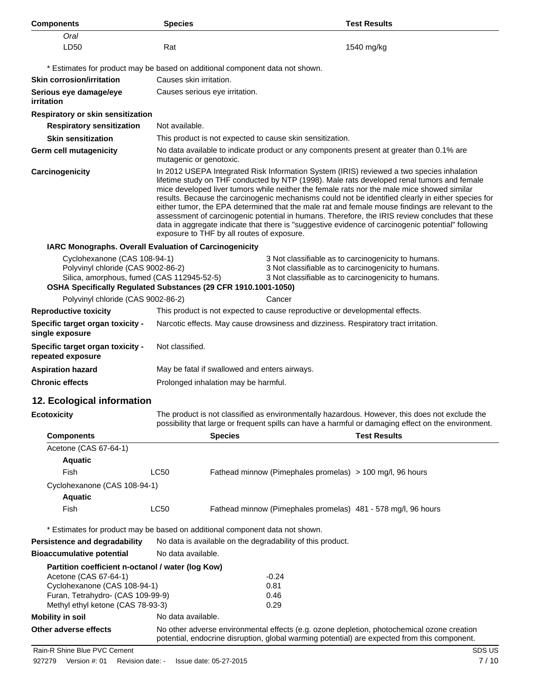| <b>Components</b>                                                                                                                                                                                                                                                                                                                                       | <b>Species</b>                                                                                                                                                                                                                                                                                                                                                                                                                                                                                                                                                                                                                                                                                                                                         |                |                                                            | <b>Test Results</b>                                                                                                                                                                        |
|---------------------------------------------------------------------------------------------------------------------------------------------------------------------------------------------------------------------------------------------------------------------------------------------------------------------------------------------------------|--------------------------------------------------------------------------------------------------------------------------------------------------------------------------------------------------------------------------------------------------------------------------------------------------------------------------------------------------------------------------------------------------------------------------------------------------------------------------------------------------------------------------------------------------------------------------------------------------------------------------------------------------------------------------------------------------------------------------------------------------------|----------------|------------------------------------------------------------|--------------------------------------------------------------------------------------------------------------------------------------------------------------------------------------------|
| Oral                                                                                                                                                                                                                                                                                                                                                    |                                                                                                                                                                                                                                                                                                                                                                                                                                                                                                                                                                                                                                                                                                                                                        |                |                                                            |                                                                                                                                                                                            |
| LD50                                                                                                                                                                                                                                                                                                                                                    | Rat                                                                                                                                                                                                                                                                                                                                                                                                                                                                                                                                                                                                                                                                                                                                                    |                |                                                            | 1540 mg/kg                                                                                                                                                                                 |
|                                                                                                                                                                                                                                                                                                                                                         |                                                                                                                                                                                                                                                                                                                                                                                                                                                                                                                                                                                                                                                                                                                                                        |                |                                                            |                                                                                                                                                                                            |
| <b>Skin corrosion/irritation</b>                                                                                                                                                                                                                                                                                                                        | * Estimates for product may be based on additional component data not shown.<br>Causes skin irritation.                                                                                                                                                                                                                                                                                                                                                                                                                                                                                                                                                                                                                                                |                |                                                            |                                                                                                                                                                                            |
| Serious eye damage/eye                                                                                                                                                                                                                                                                                                                                  | Causes serious eye irritation.                                                                                                                                                                                                                                                                                                                                                                                                                                                                                                                                                                                                                                                                                                                         |                |                                                            |                                                                                                                                                                                            |
| irritation                                                                                                                                                                                                                                                                                                                                              |                                                                                                                                                                                                                                                                                                                                                                                                                                                                                                                                                                                                                                                                                                                                                        |                |                                                            |                                                                                                                                                                                            |
| Respiratory or skin sensitization                                                                                                                                                                                                                                                                                                                       |                                                                                                                                                                                                                                                                                                                                                                                                                                                                                                                                                                                                                                                                                                                                                        |                |                                                            |                                                                                                                                                                                            |
| <b>Respiratory sensitization</b>                                                                                                                                                                                                                                                                                                                        | Not available.                                                                                                                                                                                                                                                                                                                                                                                                                                                                                                                                                                                                                                                                                                                                         |                |                                                            |                                                                                                                                                                                            |
| <b>Skin sensitization</b>                                                                                                                                                                                                                                                                                                                               |                                                                                                                                                                                                                                                                                                                                                                                                                                                                                                                                                                                                                                                                                                                                                        |                | This product is not expected to cause skin sensitization.  |                                                                                                                                                                                            |
| <b>Germ cell mutagenicity</b>                                                                                                                                                                                                                                                                                                                           | No data available to indicate product or any components present at greater than 0.1% are<br>mutagenic or genotoxic.                                                                                                                                                                                                                                                                                                                                                                                                                                                                                                                                                                                                                                    |                |                                                            |                                                                                                                                                                                            |
| Carcinogenicity                                                                                                                                                                                                                                                                                                                                         | In 2012 USEPA Integrated Risk Information System (IRIS) reviewed a two species inhalation<br>lifetime study on THF conducted by NTP (1998). Male rats developed renal tumors and female<br>mice developed liver tumors while neither the female rats nor the male mice showed similar<br>results. Because the carcinogenic mechanisms could not be identified clearly in either species for<br>either tumor, the EPA determined that the male rat and female mouse findings are relevant to the<br>assessment of carcinogenic potential in humans. Therefore, the IRIS review concludes that these<br>data in aggregate indicate that there is "suggestive evidence of carcinogenic potential" following<br>exposure to THF by all routes of exposure. |                |                                                            |                                                                                                                                                                                            |
| IARC Monographs. Overall Evaluation of Carcinogenicity                                                                                                                                                                                                                                                                                                  |                                                                                                                                                                                                                                                                                                                                                                                                                                                                                                                                                                                                                                                                                                                                                        |                |                                                            |                                                                                                                                                                                            |
| Cyclohexanone (CAS 108-94-1)<br>3 Not classifiable as to carcinogenicity to humans.<br>Polyvinyl chloride (CAS 9002-86-2)<br>3 Not classifiable as to carcinogenicity to humans.<br>Silica, amorphous, fumed (CAS 112945-52-5)<br>3 Not classifiable as to carcinogenicity to humans.<br>OSHA Specifically Regulated Substances (29 CFR 1910.1001-1050) |                                                                                                                                                                                                                                                                                                                                                                                                                                                                                                                                                                                                                                                                                                                                                        |                |                                                            |                                                                                                                                                                                            |
| Polyvinyl chloride (CAS 9002-86-2)                                                                                                                                                                                                                                                                                                                      |                                                                                                                                                                                                                                                                                                                                                                                                                                                                                                                                                                                                                                                                                                                                                        |                | Cancer                                                     |                                                                                                                                                                                            |
| <b>Reproductive toxicity</b>                                                                                                                                                                                                                                                                                                                            | This product is not expected to cause reproductive or developmental effects.                                                                                                                                                                                                                                                                                                                                                                                                                                                                                                                                                                                                                                                                           |                |                                                            |                                                                                                                                                                                            |
| Specific target organ toxicity -<br>single exposure                                                                                                                                                                                                                                                                                                     | Narcotic effects. May cause drowsiness and dizziness. Respiratory tract irritation.                                                                                                                                                                                                                                                                                                                                                                                                                                                                                                                                                                                                                                                                    |                |                                                            |                                                                                                                                                                                            |
| Specific target organ toxicity -<br>repeated exposure                                                                                                                                                                                                                                                                                                   | Not classified.                                                                                                                                                                                                                                                                                                                                                                                                                                                                                                                                                                                                                                                                                                                                        |                |                                                            |                                                                                                                                                                                            |
| <b>Aspiration hazard</b>                                                                                                                                                                                                                                                                                                                                | May be fatal if swallowed and enters airways.                                                                                                                                                                                                                                                                                                                                                                                                                                                                                                                                                                                                                                                                                                          |                |                                                            |                                                                                                                                                                                            |
| <b>Chronic effects</b>                                                                                                                                                                                                                                                                                                                                  | Prolonged inhalation may be harmful.                                                                                                                                                                                                                                                                                                                                                                                                                                                                                                                                                                                                                                                                                                                   |                |                                                            |                                                                                                                                                                                            |
| 12. Ecological information                                                                                                                                                                                                                                                                                                                              |                                                                                                                                                                                                                                                                                                                                                                                                                                                                                                                                                                                                                                                                                                                                                        |                |                                                            |                                                                                                                                                                                            |
| <b>Ecotoxicity</b>                                                                                                                                                                                                                                                                                                                                      | The product is not classified as environmentally hazardous. However, this does not exclude the<br>possibility that large or frequent spills can have a harmful or damaging effect on the environment.                                                                                                                                                                                                                                                                                                                                                                                                                                                                                                                                                  |                |                                                            |                                                                                                                                                                                            |
| <b>Components</b>                                                                                                                                                                                                                                                                                                                                       |                                                                                                                                                                                                                                                                                                                                                                                                                                                                                                                                                                                                                                                                                                                                                        | <b>Species</b> |                                                            | <b>Test Results</b>                                                                                                                                                                        |
| Acetone (CAS 67-64-1)                                                                                                                                                                                                                                                                                                                                   |                                                                                                                                                                                                                                                                                                                                                                                                                                                                                                                                                                                                                                                                                                                                                        |                |                                                            |                                                                                                                                                                                            |
| <b>Aquatic</b>                                                                                                                                                                                                                                                                                                                                          |                                                                                                                                                                                                                                                                                                                                                                                                                                                                                                                                                                                                                                                                                                                                                        |                |                                                            |                                                                                                                                                                                            |
| Fish                                                                                                                                                                                                                                                                                                                                                    | LC50                                                                                                                                                                                                                                                                                                                                                                                                                                                                                                                                                                                                                                                                                                                                                   |                | Fathead minnow (Pimephales promelas) > 100 mg/l, 96 hours  |                                                                                                                                                                                            |
| Cyclohexanone (CAS 108-94-1)                                                                                                                                                                                                                                                                                                                            |                                                                                                                                                                                                                                                                                                                                                                                                                                                                                                                                                                                                                                                                                                                                                        |                |                                                            |                                                                                                                                                                                            |
| <b>Aquatic</b>                                                                                                                                                                                                                                                                                                                                          |                                                                                                                                                                                                                                                                                                                                                                                                                                                                                                                                                                                                                                                                                                                                                        |                |                                                            |                                                                                                                                                                                            |
| Fish                                                                                                                                                                                                                                                                                                                                                    | LC50                                                                                                                                                                                                                                                                                                                                                                                                                                                                                                                                                                                                                                                                                                                                                   |                |                                                            | Fathead minnow (Pimephales promelas) 481 - 578 mg/l, 96 hours                                                                                                                              |
| * Estimates for product may be based on additional component data not shown.                                                                                                                                                                                                                                                                            |                                                                                                                                                                                                                                                                                                                                                                                                                                                                                                                                                                                                                                                                                                                                                        |                |                                                            |                                                                                                                                                                                            |
| <b>Persistence and degradability</b>                                                                                                                                                                                                                                                                                                                    |                                                                                                                                                                                                                                                                                                                                                                                                                                                                                                                                                                                                                                                                                                                                                        |                | No data is available on the degradability of this product. |                                                                                                                                                                                            |
| <b>Bioaccumulative potential</b>                                                                                                                                                                                                                                                                                                                        | No data available.                                                                                                                                                                                                                                                                                                                                                                                                                                                                                                                                                                                                                                                                                                                                     |                |                                                            |                                                                                                                                                                                            |
| Partition coefficient n-octanol / water (log Kow)<br>Acetone (CAS 67-64-1)                                                                                                                                                                                                                                                                              |                                                                                                                                                                                                                                                                                                                                                                                                                                                                                                                                                                                                                                                                                                                                                        |                | $-0.24$                                                    |                                                                                                                                                                                            |
| Cyclohexanone (CAS 108-94-1)                                                                                                                                                                                                                                                                                                                            |                                                                                                                                                                                                                                                                                                                                                                                                                                                                                                                                                                                                                                                                                                                                                        |                | 0.81                                                       |                                                                                                                                                                                            |
| Furan, Tetrahydro- (CAS 109-99-9)                                                                                                                                                                                                                                                                                                                       |                                                                                                                                                                                                                                                                                                                                                                                                                                                                                                                                                                                                                                                                                                                                                        |                | 0.46                                                       |                                                                                                                                                                                            |
| Methyl ethyl ketone (CAS 78-93-3)                                                                                                                                                                                                                                                                                                                       |                                                                                                                                                                                                                                                                                                                                                                                                                                                                                                                                                                                                                                                                                                                                                        |                | 0.29                                                       |                                                                                                                                                                                            |
| <b>Mobility in soil</b>                                                                                                                                                                                                                                                                                                                                 | No data available.                                                                                                                                                                                                                                                                                                                                                                                                                                                                                                                                                                                                                                                                                                                                     |                |                                                            |                                                                                                                                                                                            |
| Other adverse effects                                                                                                                                                                                                                                                                                                                                   |                                                                                                                                                                                                                                                                                                                                                                                                                                                                                                                                                                                                                                                                                                                                                        |                |                                                            | No other adverse environmental effects (e.g. ozone depletion, photochemical ozone creation<br>potential, endocrine disruption, global warming potential) are expected from this component. |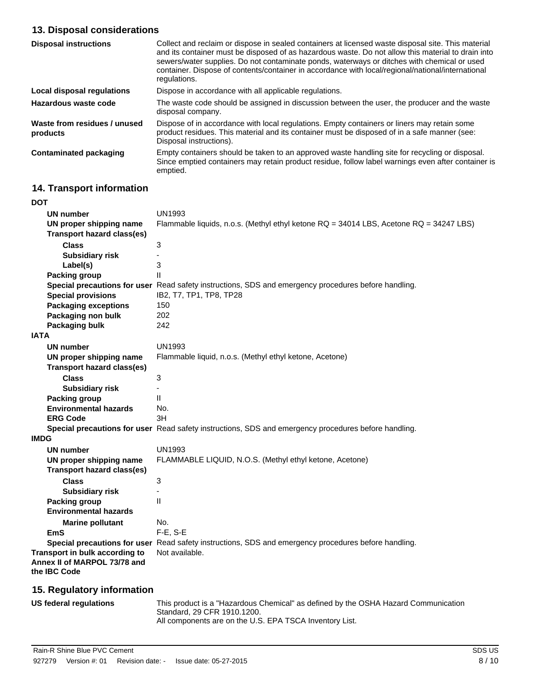# **13. Disposal considerations**

| <b>Disposal instructions</b>             | Collect and reclaim or dispose in sealed containers at licensed waste disposal site. This material<br>and its container must be disposed of as hazardous waste. Do not allow this material to drain into<br>sewers/water supplies. Do not contaminate ponds, waterways or ditches with chemical or used<br>container. Dispose of contents/container in accordance with local/regional/national/international<br>regulations. |
|------------------------------------------|------------------------------------------------------------------------------------------------------------------------------------------------------------------------------------------------------------------------------------------------------------------------------------------------------------------------------------------------------------------------------------------------------------------------------|
| Local disposal regulations               | Dispose in accordance with all applicable regulations.                                                                                                                                                                                                                                                                                                                                                                       |
| Hazardous waste code                     | The waste code should be assigned in discussion between the user, the producer and the waste<br>disposal company.                                                                                                                                                                                                                                                                                                            |
| Waste from residues / unused<br>products | Dispose of in accordance with local regulations. Empty containers or liners may retain some<br>product residues. This material and its container must be disposed of in a safe manner (see:<br>Disposal instructions).                                                                                                                                                                                                       |
| <b>Contaminated packaging</b>            | Empty containers should be taken to an approved waste handling site for recycling or disposal.<br>Since emptied containers may retain product residue, follow label warnings even after container is<br>emptied.                                                                                                                                                                                                             |

# **14. Transport information**

| <b>DOT</b>                                                                     |                                                                                                      |
|--------------------------------------------------------------------------------|------------------------------------------------------------------------------------------------------|
| <b>UN number</b>                                                               | <b>UN1993</b>                                                                                        |
| UN proper shipping name                                                        | Flammable liquids, n.o.s. (Methyl ethyl ketone RQ = 34014 LBS, Acetone RQ = 34247 LBS)               |
| <b>Transport hazard class(es)</b>                                              |                                                                                                      |
| <b>Class</b>                                                                   | 3                                                                                                    |
| <b>Subsidiary risk</b>                                                         | ٠                                                                                                    |
| Label(s)                                                                       | 3                                                                                                    |
| <b>Packing group</b>                                                           | $\mathsf{II}$                                                                                        |
|                                                                                | Special precautions for user Read safety instructions, SDS and emergency procedures before handling. |
| <b>Special provisions</b>                                                      | IB2, T7, TP1, TP8, TP28                                                                              |
| <b>Packaging exceptions</b>                                                    | 150                                                                                                  |
| Packaging non bulk                                                             | 202                                                                                                  |
| <b>Packaging bulk</b>                                                          | 242                                                                                                  |
| <b>IATA</b>                                                                    |                                                                                                      |
| <b>UN number</b>                                                               | <b>UN1993</b>                                                                                        |
| UN proper shipping name                                                        | Flammable liquid, n.o.s. (Methyl ethyl ketone, Acetone)                                              |
| <b>Transport hazard class(es)</b>                                              |                                                                                                      |
| <b>Class</b>                                                                   | 3                                                                                                    |
| <b>Subsidiary risk</b>                                                         |                                                                                                      |
| <b>Packing group</b>                                                           | $\mathsf{I}$                                                                                         |
| <b>Environmental hazards</b>                                                   | No.                                                                                                  |
| <b>ERG Code</b>                                                                | 3H                                                                                                   |
|                                                                                | Special precautions for user Read safety instructions, SDS and emergency procedures before handling. |
| <b>IMDG</b>                                                                    |                                                                                                      |
| <b>UN number</b>                                                               | <b>UN1993</b>                                                                                        |
| UN proper shipping name<br><b>Transport hazard class(es)</b>                   | FLAMMABLE LIQUID, N.O.S. (Methyl ethyl ketone, Acetone)                                              |
| <b>Class</b>                                                                   | 3                                                                                                    |
| <b>Subsidiary risk</b>                                                         |                                                                                                      |
| <b>Packing group</b>                                                           | Ш                                                                                                    |
| <b>Environmental hazards</b>                                                   |                                                                                                      |
| <b>Marine pollutant</b>                                                        | No.                                                                                                  |
| <b>EmS</b>                                                                     | $F-E$ , S-E                                                                                          |
|                                                                                | Special precautions for user Read safety instructions, SDS and emergency procedures before handling. |
| Transport in bulk according to<br>Annex II of MARPOL 73/78 and<br>the IBC Code | Not available.                                                                                       |
|                                                                                |                                                                                                      |

# **15. Regulatory information**

| US federal regulations | This product is a "Hazardous Chemical" as defined by the OSHA Hazard Communication |
|------------------------|------------------------------------------------------------------------------------|
|                        | Standard, 29 CFR 1910.1200.                                                        |
|                        | All components are on the U.S. EPA TSCA Inventory List.                            |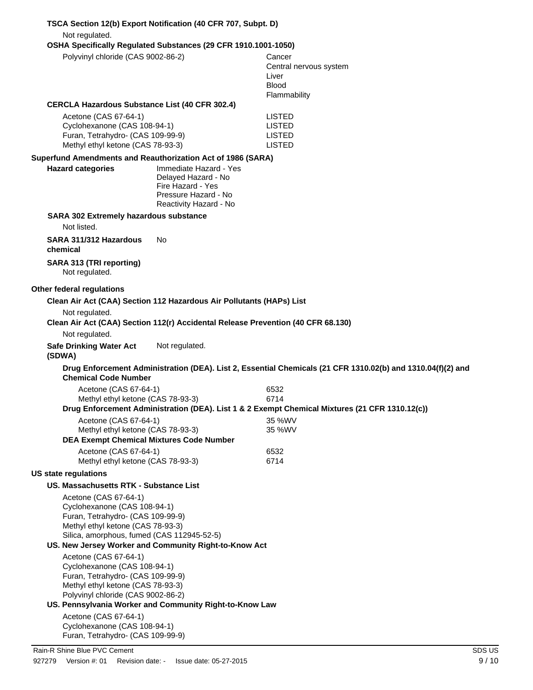| Not regulated.                                                                                                                                                                                                                 | TSCA Section 12(b) Export Notification (40 CFR 707, Subpt. D)                                                        |                                                                                                             |
|--------------------------------------------------------------------------------------------------------------------------------------------------------------------------------------------------------------------------------|----------------------------------------------------------------------------------------------------------------------|-------------------------------------------------------------------------------------------------------------|
| Polyvinyl chloride (CAS 9002-86-2)                                                                                                                                                                                             | OSHA Specifically Regulated Substances (29 CFR 1910.1001-1050)                                                       | Cancer<br>Central nervous system<br>Liver                                                                   |
|                                                                                                                                                                                                                                |                                                                                                                      | <b>Blood</b><br>Flammability                                                                                |
| <b>CERCLA Hazardous Substance List (40 CFR 302.4)</b>                                                                                                                                                                          |                                                                                                                      |                                                                                                             |
| Acetone (CAS 67-64-1)<br>Cyclohexanone (CAS 108-94-1)<br>Furan, Tetrahydro- (CAS 109-99-9)<br>Methyl ethyl ketone (CAS 78-93-3)                                                                                                |                                                                                                                      | <b>LISTED</b><br><b>LISTED</b><br><b>LISTED</b><br><b>LISTED</b>                                            |
| Superfund Amendments and Reauthorization Act of 1986 (SARA)                                                                                                                                                                    |                                                                                                                      |                                                                                                             |
| <b>Hazard categories</b>                                                                                                                                                                                                       | Immediate Hazard - Yes<br>Delayed Hazard - No<br>Fire Hazard - Yes<br>Pressure Hazard - No<br>Reactivity Hazard - No |                                                                                                             |
| SARA 302 Extremely hazardous substance                                                                                                                                                                                         |                                                                                                                      |                                                                                                             |
| Not listed.<br>SARA 311/312 Hazardous                                                                                                                                                                                          | No                                                                                                                   |                                                                                                             |
| chemical<br>SARA 313 (TRI reporting)<br>Not regulated.                                                                                                                                                                         |                                                                                                                      |                                                                                                             |
| Other federal regulations                                                                                                                                                                                                      |                                                                                                                      |                                                                                                             |
|                                                                                                                                                                                                                                | Clean Air Act (CAA) Section 112 Hazardous Air Pollutants (HAPs) List                                                 |                                                                                                             |
| Not regulated.                                                                                                                                                                                                                 | Clean Air Act (CAA) Section 112(r) Accidental Release Prevention (40 CFR 68.130)                                     |                                                                                                             |
| Not regulated.                                                                                                                                                                                                                 |                                                                                                                      |                                                                                                             |
| <b>Safe Drinking Water Act</b><br>(SDWA)                                                                                                                                                                                       | Not regulated.                                                                                                       |                                                                                                             |
| <b>Chemical Code Number</b>                                                                                                                                                                                                    |                                                                                                                      | Drug Enforcement Administration (DEA). List 2, Essential Chemicals (21 CFR 1310.02(b) and 1310.04(f)(2) and |
| Acetone (CAS 67-64-1)                                                                                                                                                                                                          |                                                                                                                      | 6532                                                                                                        |
| Methyl ethyl ketone (CAS 78-93-3)                                                                                                                                                                                              |                                                                                                                      | 6714<br>Drug Enforcement Administration (DEA). List 1 & 2 Exempt Chemical Mixtures (21 CFR 1310.12(c))      |
| Acetone (CAS 67-64-1)                                                                                                                                                                                                          |                                                                                                                      | 35 %WV                                                                                                      |
| Methyl ethyl ketone (CAS 78-93-3)                                                                                                                                                                                              | <b>DEA Exempt Chemical Mixtures Code Number</b>                                                                      | 35 %WV                                                                                                      |
| Acetone (CAS 67-64-1)                                                                                                                                                                                                          |                                                                                                                      | 6532                                                                                                        |
| Methyl ethyl ketone (CAS 78-93-3)                                                                                                                                                                                              |                                                                                                                      | 6714                                                                                                        |
| <b>US state regulations</b>                                                                                                                                                                                                    |                                                                                                                      |                                                                                                             |
| <b>US. Massachusetts RTK - Substance List</b><br>Acetone (CAS 67-64-1)<br>Cyclohexanone (CAS 108-94-1)<br>Furan, Tetrahydro- (CAS 109-99-9)<br>Methyl ethyl ketone (CAS 78-93-3)<br>Silica, amorphous, fumed (CAS 112945-52-5) |                                                                                                                      |                                                                                                             |
|                                                                                                                                                                                                                                | US. New Jersey Worker and Community Right-to-Know Act                                                                |                                                                                                             |
| Acetone (CAS 67-64-1)<br>Cyclohexanone (CAS 108-94-1)<br>Furan, Tetrahydro- (CAS 109-99-9)<br>Methyl ethyl ketone (CAS 78-93-3)<br>Polyvinyl chloride (CAS 9002-86-2)                                                          | US. Pennsylvania Worker and Community Right-to-Know Law                                                              |                                                                                                             |
| Acetone (CAS 67-64-1)                                                                                                                                                                                                          |                                                                                                                      |                                                                                                             |
| Cyclohexanone (CAS 108-94-1)<br>Furan, Tetrahydro- (CAS 109-99-9)                                                                                                                                                              |                                                                                                                      |                                                                                                             |
| Rain-R Shine Blue PVC Cement                                                                                                                                                                                                   |                                                                                                                      | SDS US                                                                                                      |